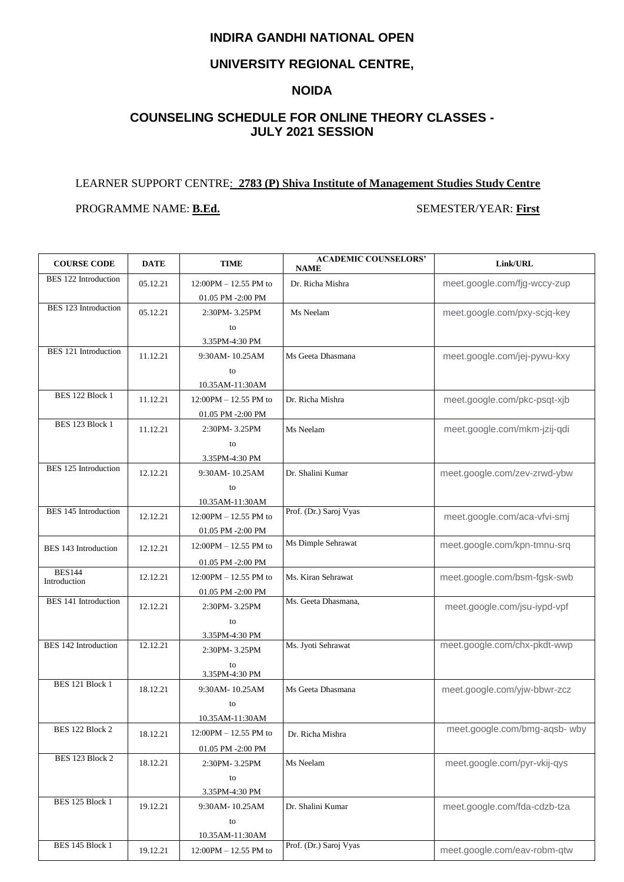### **INDIRA GANDHI NATIONAL OPEN**

# **UNIVERSITY REGIONAL CENTRE,**

## **NOIDA**

# **COUNSELING SCHEDULE FOR ONLINE THEORY CLASSES - JULY 2021 SESSION**

#### LEARNER SUPPORT CENTRE: **2783 (P) Shiva Institute of Management Studies Study Centre**

#### PROGRAMME NAME: **B.Ed.** SEMESTER/YEAR: **First**

| <b>COURSE CODE</b>          | <b>DATE</b> | <b>TIME</b>                                  | <b>ACADEMIC COUNSELORS'</b><br><b>NAME</b> | Link/URL                      |
|-----------------------------|-------------|----------------------------------------------|--------------------------------------------|-------------------------------|
| <b>BES</b> 122 Introduction | 05.12.21    | $12:00PM - 12.55 PM$ to<br>01.05 PM -2:00 PM | Dr. Richa Mishra                           | meet.google.com/fjg-wccy-zup  |
| BES 123 Introduction        | 05.12.21    | 2:30PM-3.25PM                                | Ms Neelam                                  | meet.google.com/pxy-scjq-key  |
|                             |             | to                                           |                                            |                               |
|                             |             | 3.35PM-4:30 PM                               |                                            |                               |
| BES 121 Introduction        | 11.12.21    | 9:30AM-10.25AM                               | Ms Geeta Dhasmana                          | meet.google.com/jej-pywu-kxy  |
|                             |             | to                                           |                                            |                               |
|                             |             | 10.35AM-11:30AM                              |                                            |                               |
| BES 122 Block 1             | 11.12.21    | $12:00PM - 12.55 PM$ to                      | Dr. Richa Mishra                           | meet.google.com/pkc-psqt-xjb  |
|                             |             | 01.05 PM -2:00 PM                            |                                            |                               |
| BES 123 Block 1             | 11.12.21    | 2:30PM-3.25PM                                | Ms Neelam                                  | meet.google.com/mkm-jzij-qdi  |
|                             |             | to                                           |                                            |                               |
|                             |             | 3.35PM-4:30 PM                               |                                            |                               |
| <b>BES</b> 125 Introduction | 12.12.21    | 9:30AM-10.25AM                               | Dr. Shalini Kumar                          | meet.google.com/zev-zrwd-ybw  |
|                             |             | to                                           |                                            |                               |
|                             |             | 10.35AM-11:30AM                              |                                            |                               |
| <b>BES 145 Introduction</b> | 12.12.21    | $12:00PM - 12.55 PM$ to                      | Prof. (Dr.) Saroj Vyas                     | meet.google.com/aca-vfvi-smj  |
|                             |             | 01.05 PM -2:00 PM                            |                                            |                               |
| BES 143 Introduction        | 12.12.21    | $12:00PM - 12.55 PM$ to                      | Ms Dimple Sehrawat                         | meet.google.com/kpn-tmnu-srq  |
|                             |             | 01.05 PM -2:00 PM                            |                                            |                               |
| <b>BES144</b>               | 12.12.21    | $12:00PM - 12.55 PM$ to                      | Ms. Kiran Sehrawat                         | meet.google.com/bsm-fgsk-swb  |
| Introduction                |             | 01.05 PM -2:00 PM                            |                                            |                               |
| <b>BES 141 Introduction</b> | 12.12.21    | 2:30PM-3.25PM                                | Ms. Geeta Dhasmana,                        | meet.google.com/jsu-iypd-vpf  |
|                             |             | to                                           |                                            |                               |
|                             |             | 3.35PM-4:30 PM                               |                                            |                               |
| <b>BES 142 Introduction</b> | 12.12.21    | 2:30PM-3.25PM                                | Ms. Jyoti Sehrawat                         | meet.google.com/chx-pkdt-wwp  |
|                             |             | to                                           |                                            |                               |
|                             |             | 3.35PM-4:30 PM                               |                                            |                               |
| BES 121 Block 1             | 18.12.21    | 9:30AM-10.25AM                               | Ms Geeta Dhasmana                          | meet.google.com/yjw-bbwr-zcz  |
|                             |             | to                                           |                                            |                               |
|                             |             | 10.35AM-11:30AM                              |                                            |                               |
| BES 122 Block 2             | 18.12.21    | $12:00PM - 12.55 PM$ to                      | Dr. Richa Mishra                           | meet.google.com/bmg-aqsb- wby |
|                             |             | 01.05 PM -2:00 PM                            |                                            |                               |
| BES 123 Block 2             | 18.12.21    | 2:30PM-3.25PM                                | Ms Neelam                                  | meet.google.com/pyr-vkij-qys  |
|                             |             | to                                           |                                            |                               |
|                             |             | 3.35PM-4:30 PM                               |                                            |                               |
| BES 125 Block 1             | 19.12.21    | 9:30AM-10.25AM                               | Dr. Shalini Kumar                          | meet.google.com/fda-cdzb-tza  |
|                             |             | to                                           |                                            |                               |
|                             |             | 10.35AM-11:30AM                              |                                            |                               |
| BES 145 Block 1             | 19.12.21    | 12:00PM - 12.55 PM to                        | Prof. (Dr.) Saroj Vyas                     | meet.google.com/eav-robm-qtw  |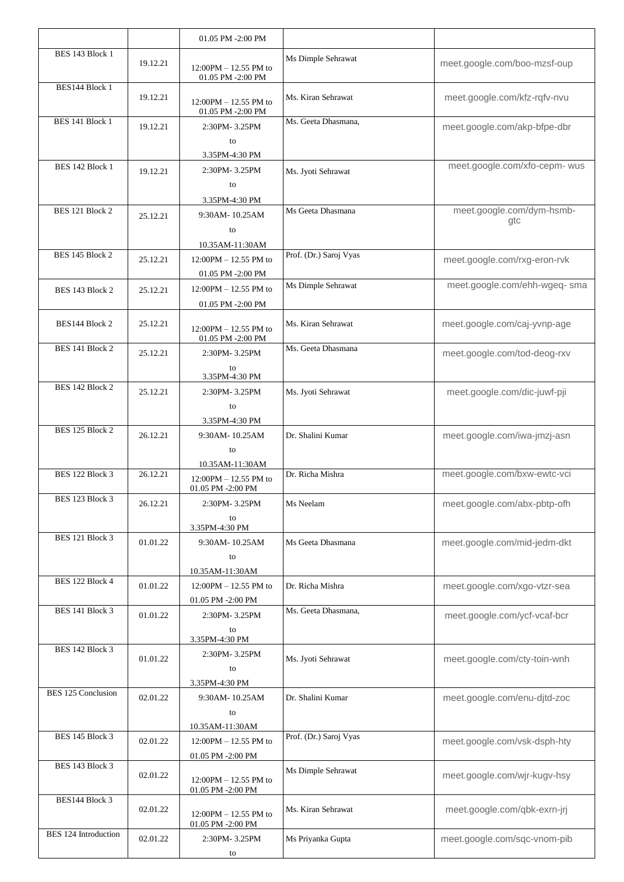|                             |          | 01.05 PM -2:00 PM                            |                        |                               |
|-----------------------------|----------|----------------------------------------------|------------------------|-------------------------------|
| BES 143 Block 1             | 19.12.21 |                                              | Ms Dimple Sehrawat     | meet.google.com/boo-mzsf-oup  |
|                             |          | $12:00PM - 12.55 PM$ to<br>01.05 PM -2:00 PM |                        |                               |
| BES144 Block 1              | 19.12.21 | $12:00PM - 12.55 PM$ to<br>01.05 PM -2:00 PM | Ms. Kiran Sehrawat     | meet.google.com/kfz-rqfv-nvu  |
| BES 141 Block 1             | 19.12.21 | 2:30PM-3.25PM                                | Ms. Geeta Dhasmana,    | meet.google.com/akp-bfpe-dbr  |
|                             |          | to                                           |                        |                               |
| <b>BES 142 Block 1</b>      |          | 3.35PM-4:30 PM                               |                        | meet.google.com/xfo-cepm- wus |
|                             | 19.12.21 | 2:30PM-3.25PM<br>to                          | Ms. Jyoti Sehrawat     |                               |
|                             |          | 3.35PM-4:30 PM                               |                        |                               |
| BES 121 Block 2             | 25.12.21 | 9:30AM-10.25AM                               | Ms Geeta Dhasmana      | meet.google.com/dym-hsmb-     |
|                             |          | to                                           |                        | gtc                           |
|                             |          | 10.35AM-11:30AM                              |                        |                               |
| BES 145 Block 2             | 25.12.21 | $12:00PM - 12.55 PM$ to                      | Prof. (Dr.) Saroj Vyas | meet.google.com/rxg-eron-rvk  |
|                             |          | 01.05 PM -2:00 PM                            | Ms Dimple Sehrawat     | meet.google.com/ehh-wgeq-sma  |
| BES 143 Block 2             | 25.12.21 | $12:00PM - 12.55 PM$ to                      |                        |                               |
|                             |          | 01.05 PM -2:00 PM                            |                        |                               |
| BES144 Block 2              | 25.12.21 | $12:00PM - 12.55 PM$ to<br>01.05 PM -2:00 PM | Ms. Kiran Sehrawat     | meet.google.com/caj-yvnp-age  |
| BES 141 Block 2             | 25.12.21 | 2:30PM-3.25PM                                | Ms. Geeta Dhasmana     | meet.google.com/tod-deog-rxv  |
|                             |          | to                                           |                        |                               |
| BES 142 Block 2             |          | 3.35PM-4:30 PM                               |                        |                               |
|                             | 25.12.21 | 2:30PM-3.25PM<br>to                          | Ms. Jyoti Sehrawat     | meet.google.com/dic-juwf-pji  |
|                             |          | 3.35PM-4:30 PM                               |                        |                               |
| BES 125 Block 2             | 26.12.21 | 9:30AM-10.25AM                               | Dr. Shalini Kumar      | meet.google.com/iwa-jmzj-asn  |
|                             |          | to                                           |                        |                               |
| <b>BES 122 Block 3</b>      | 26.12.21 | 10.35AM-11:30AM                              | Dr. Richa Mishra       | meet.google.com/bxw-ewtc-vci  |
|                             |          | 12:00PM $-$ 12.55 PM to<br>01.05 PM -2:00 PM |                        |                               |
| BES 123 Block 3             | 26.12.21 | 2:30PM-3.25PM                                | Ms Neelam              | meet.google.com/abx-pbtp-ofh  |
|                             |          | to<br>3.35PM-4:30 PM                         |                        |                               |
| BES 121 Block 3             | 01.01.22 | 9:30AM-10.25AM                               | Ms Geeta Dhasmana      | meet.google.com/mid-jedm-dkt  |
|                             |          | to                                           |                        |                               |
| <b>BES 122 Block 4</b>      |          | 10.35AM-11:30AM                              |                        |                               |
|                             | 01.01.22 | $12:00PM - 12.55 PM$ to                      | Dr. Richa Mishra       | meet.google.com/xgo-vtzr-sea  |
| BES 141 Block 3             |          | 01.05 PM -2:00 PM<br>2:30PM-3.25PM           | Ms. Geeta Dhasmana,    |                               |
|                             | 01.01.22 | to                                           |                        | meet.google.com/ycf-vcaf-bcr  |
|                             |          | 3.35PM-4:30 PM                               |                        |                               |
| BES 142 Block 3             | 01.01.22 | 2:30PM-3.25PM                                | Ms. Jyoti Sehrawat     | meet.google.com/cty-toin-wnh  |
|                             |          | to                                           |                        |                               |
| <b>BES 125 Conclusion</b>   | 02.01.22 | 3.35PM-4:30 PM<br>9:30AM-10.25AM             | Dr. Shalini Kumar      | meet.google.com/enu-djtd-zoc  |
|                             |          | to                                           |                        |                               |
|                             |          | 10.35AM-11:30AM                              |                        |                               |
| BES 145 Block 3             | 02.01.22 | $12:00PM - 12.55 PM$ to                      | Prof. (Dr.) Saroj Vyas | meet.google.com/vsk-dsph-hty  |
| BES 143 Block 3             |          | 01.05 PM -2:00 PM                            |                        |                               |
|                             | 02.01.22 | $12:00PM - 12.55 PM$ to                      | Ms Dimple Sehrawat     | meet.google.com/wjr-kugv-hsy  |
| BES144 Block 3              |          | 01.05 PM -2:00 PM                            |                        |                               |
|                             | 02.01.22 | 12:00PM - 12.55 PM to<br>01.05 PM -2:00 PM   | Ms. Kiran Sehrawat     | meet.google.com/qbk-exrn-jrj  |
| <b>BES</b> 124 Introduction | 02.01.22 | 2:30PM-3.25PM                                | Ms Priyanka Gupta      | meet.google.com/sqc-vnom-pib  |
|                             |          | to                                           |                        |                               |